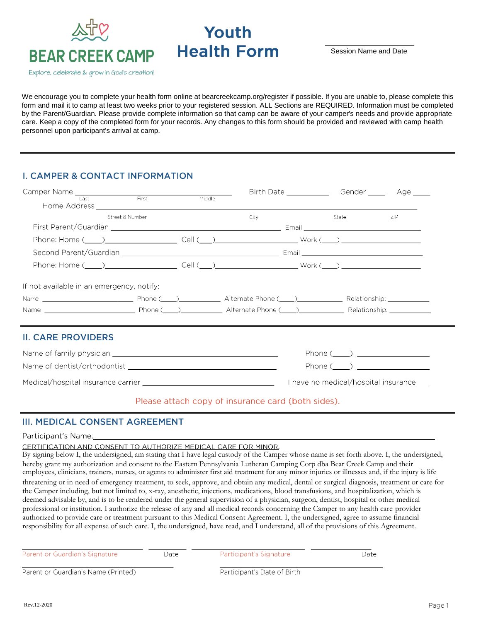

# Youth **Health Form**

Session Name and Date

We encourage you to complete your health form online at bearcreekcamp.org/register if possible. If you are unable to, please complete this form and mail it to camp at least two weeks prior to your registered session. ALL Sections are REQUIRED. Information must be completed by the Parent/Guardian. Please provide complete information so that camp can be aware of your camper's needs and provide appropriate care. Keep a copy of the completed form for your records. Any changes to this form should be provided and reviewed with camp health personnel upon participant's arrival at camp.

# **I. CAMPER & CONTACT INFORMATION**

| Camper Name Last The First Middle         |                 |  |      |                                          |      |
|-------------------------------------------|-----------------|--|------|------------------------------------------|------|
|                                           | Street & Number |  | City | State and the state of the state of the  | ZIP. |
|                                           |                 |  |      |                                          |      |
|                                           |                 |  |      |                                          |      |
|                                           |                 |  |      |                                          |      |
|                                           |                 |  |      |                                          |      |
| If not available in an emergency, notify: |                 |  |      |                                          |      |
| <b>II. CARE PROVIDERS</b>                 |                 |  |      |                                          |      |
|                                           |                 |  |      | $Phone (\_ )$                            |      |
|                                           |                 |  |      |                                          |      |
|                                           |                 |  |      | I have no medical/hospital insurance ___ |      |

#### Please attach copy of insurance card (both sides).

## **III. MEDICAL CONSENT AGREEMENT**

Participant's Name:

CERTIFICATION AND CONSENT TO AUTHORIZE MEDICAL CARE FOR MINOR.

By signing below I, the undersigned, am stating that I have legal custody of the Camper whose name is set forth above. I, the undersigned, hereby grant my authorization and consent to the Eastern Pennsylvania Lutheran Camping Corp dba Bear Creek Camp and their employees, clinicians, trainers, nurses, or agents to administer first aid treatment for any minor injuries or illnesses and, if the injury is life

threatening or in need of emergency treatment, to seek, approve, and obtain any medical, dental or surgical diagnosis, treatment or care for the Camper including, but not limited to, x-ray, anesthetic, injections, medications, blood transfusions, and hospitalization, which is deemed advisable by, and is to be rendered under the general supervision of a physician, surgeon, dentist, hospital or other medical professional or institution. I authorize the release of any and all medical records concerning the Camper to any health care provider authorized to provide care or treatment pursuant to this Medical Consent Agreement. I, the undersigned, agree to assume financial responsibility for all expense of such care. I, the undersigned, have read, and I understand, all of the provisions of this Agreement.

Parent or Guardian's Signature

Date

Participant's Signature

Date

Parent or Guardian's Name (Printed)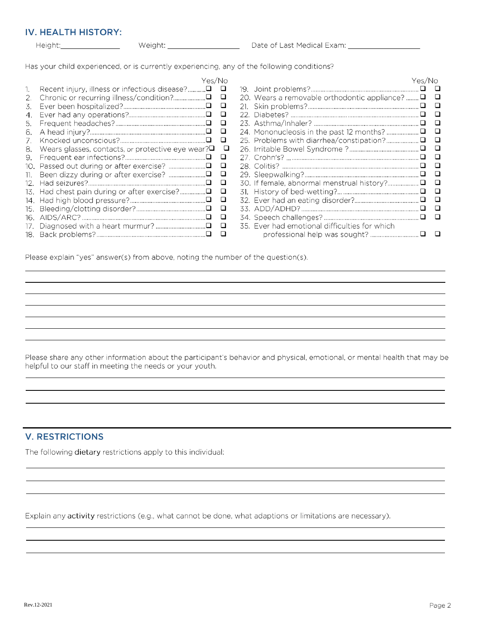### **IV. HEALTH HISTORY:**

| Height: |  |
|---------|--|
|         |  |

Height: Meight: Meight: Meight: Date of Last Medical Exam: Museum Medical Exam: Museum Medical Exam:

Has your child experienced, or is currently experiencing, any of the following conditions?

|     | Yes/No                                           |        |                                               |              |
|-----|--------------------------------------------------|--------|-----------------------------------------------|--------------|
| 1.  |                                                  | o      |                                               |              |
| 2.  |                                                  |        | 20. Wears a removable orthodontic appliance?  | ⊔            |
| 3.  |                                                  | $\Box$ |                                               | □            |
| 4.  |                                                  | □      |                                               | ப            |
| 5.  |                                                  | □      |                                               | □            |
| 6.  |                                                  | □      |                                               | □            |
|     |                                                  | □      |                                               | □            |
| 8.  | Wears glasses, contacts, or protective eye wear? | □      |                                               | □            |
| 9.  |                                                  | □      |                                               | ш            |
|     |                                                  | □      |                                               | $\mathsf{L}$ |
| 11. |                                                  | ❏      |                                               | □            |
| 12. |                                                  | □      | 30. If female, abnormal menstrual history?□   | ⊔            |
| 13. | Had chest pain during or after exercise?□        | □      |                                               | $\Box$       |
| 14. |                                                  | □      |                                               | ⊔            |
| 15. |                                                  | □      |                                               | □            |
| 16. |                                                  | ❏      |                                               | ப            |
| 17. |                                                  | □      | 35. Ever had emotional difficulties for which |              |
|     |                                                  | □      |                                               |              |

Please explain "yes" answer(s) from above, noting the number of the question(s).

Please share any other information about the participant's behavior and physical, emotional, or mental health that may be helpful to our staff in meeting the needs or your youth.

## **V. RESTRICTIONS**

The following dietary restrictions apply to this individual:

Explain any activity restrictions (e.g., what cannot be done, what adaptions or limitations are necessary).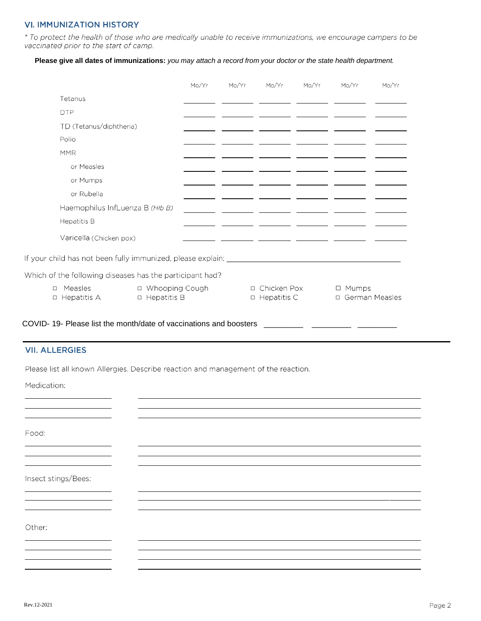#### **VI. IMMUNIZATION HISTORY**

\* To protect the health of those who are medically unable to receive immunizations, we encourage campers to be vaccinated prior to the start of camp.

#### Please give all dates of immunizations: you may attach a record from your doctor or the state health department.

|        |                                                                                  |                                        | Mo/Yr | Mo/Yr | Mo/Yr                               | Mo/Yr | Mo/Yr                            | Mo/Yr |
|--------|----------------------------------------------------------------------------------|----------------------------------------|-------|-------|-------------------------------------|-------|----------------------------------|-------|
|        | Tetanus                                                                          |                                        |       |       |                                     |       |                                  |       |
|        | <b>DTP</b>                                                                       |                                        |       |       |                                     |       |                                  |       |
|        | TD (Tetanus/diphtheria)                                                          |                                        |       |       |                                     |       |                                  |       |
|        | Polio                                                                            |                                        |       |       |                                     |       |                                  |       |
|        | <b>MMR</b>                                                                       |                                        |       |       |                                     |       |                                  |       |
|        | or Measles                                                                       |                                        |       |       |                                     |       |                                  |       |
|        | or Mumps                                                                         |                                        |       |       |                                     |       |                                  |       |
|        | or Rubella                                                                       |                                        |       |       |                                     |       |                                  |       |
|        | Haemophilus InfLuenza B (HIb B)                                                  |                                        |       |       |                                     |       |                                  |       |
|        | Hepatitis B                                                                      |                                        |       |       |                                     |       |                                  |       |
|        | Varicella (Chicken pox)                                                          |                                        |       |       |                                     |       |                                  |       |
|        | If your child has not been fully immunized, please explain: ____________________ |                                        |       |       |                                     |       |                                  |       |
|        | Which of the following diseases has the participant had?                         |                                        |       |       |                                     |       |                                  |       |
| $\Box$ | Measles<br>□ Hepatitis A                                                         | □ Whooping Cough<br>$\Box$ Hepatitis B |       |       | □ Chicken Pox<br>$\Box$ Hepatitis C |       | $\Box$ Mumps<br>□ German Measles |       |

#### **VII. ALLERGIES**

<u> 1989 - Johann Barbara, martxa a</u>

Please list all known Allergies. Describe reaction and management of the reaction.

Medication:

Food:

Insect stings/Bees:

Other: